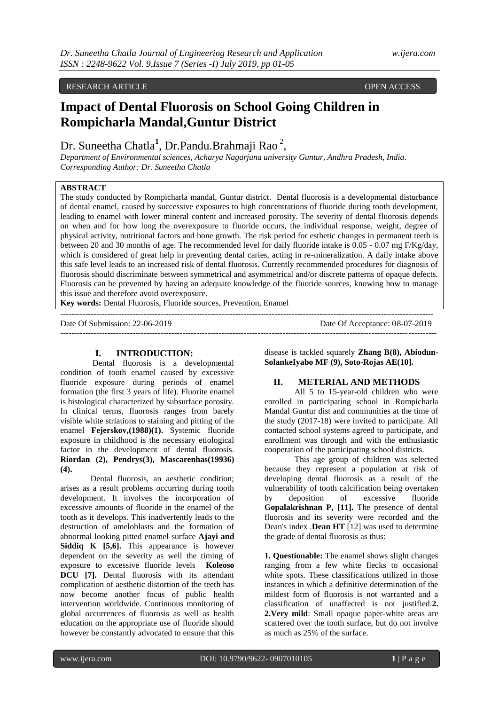## RESEARCH ARTICLE **CONSERVERS** OPEN ACCESS OPEN ACCESS OPEN ACCESS OPEN ACCESS OPEN ACCESS OPEN ACCESS OF A SAMPLE OF A SAMPLE OF A SAMPLE OF A SAMPLE OF A SAMPLE OF A SAMPLE OF A SAMPLE OF A SAMPLE OF A SAMPLE OF A SAMPLE

# **Impact of Dental Fluorosis on School Going Children in Rompicharla Mandal,Guntur District**

## Dr. Suneetha Chatla<sup>1</sup>, [Dr.Pandu.Brahmaji Rao](http://www.nagarjunauniversity.ac.in/facultydet.php?id=65)<sup>2</sup>,

*Department of Environmental sciences, Acharya Nagarjuna university Guntur, Andhra Pradesh, India. Corresponding Author: Dr. Suneetha Chatla*

## **ABSTRACT**

The study conducted by Rompicharla mandal, Guntur district. Dental fluorosis is a developmental disturbance of dental enamel, caused by successive exposures to high concentrations of fluoride during tooth development, leading to enamel with lower mineral content and increased porosity. The severity of dental fluorosis depends on when and for how long the overexposure to fluoride occurs, the individual response, weight, degree of physical activity, nutritional factors and bone growth. The risk period for esthetic changes in permanent teeth is between 20 and 30 months of age. The recommended level for daily fluoride intake is 0.05 - 0.07 mg F/Kg/day, which is considered of great help in preventing dental caries, acting in re-mineralization. A daily intake above this safe level leads to an increased risk of dental fluorosis. Currently recommended procedures for diagnosis of fluorosis should discriminate between symmetrical and asymmetrical and/or discrete patterns of opaque defects. Fluorosis can be prevented by having an adequate knowledge of the fluoride sources, knowing how to manage this issue and therefore avoid overexposure.

--------------------------------------------------------------------------------------------------------------------------------------

**Key words:** Dental Fluorosis, Fluoride sources, Prevention, Enamel

Date Of Submission: 22-06-2019 Date Of Acceptance: 08-07-2019 ---------------------------------------------------------------------------------------------------------------------------------------

#### **I. INTRODUCTION:**

Dental fluorosis is a developmental condition of tooth enamel caused by excessive fluoride exposure during periods of enamel formation (the first 3 years of life). Fluorite enamel is histological characterized by subsurface porosity. In clinical terms, fluorosis ranges from barely visible white striations to staining and pitting of the enamel **Fejerskov,(1988)(1).** Systemic fluoride exposure in childhood is the necessary etiological factor in the development of dental fluorosis. **Riordan (2), Pendrys(3), Mascarenhas(19936) (4).**

Dental fluorosis, an aesthetic condition; arises as a result problems occurring during tooth development. It involves the incorporation of excessive amounts of fluoride in the enamel of the tooth as it develops. This inadvertently leads to the destruction of ameloblasts and the formation of abnormal looking pitted enamel surface **Ajayi and Siddiq K [5,6].** This appearance is however dependent on the severity as well the timing of exposure to excessive fluoride levels **Koleoso DCU [7].** Dental fluorosis with its attendant complication of aesthetic distortion of the teeth has now become another focus of public health intervention worldwide. Continuous monitoring of global occurrences of fluorosis as well as health education on the appropriate use of fluoride should however be constantly advocated to ensure that this

disease is tackled squarely **Zhang B(8), Abiodun-SolankeIyabo MF (9), Soto-Rojas AE(10].**

### **II. METERIAL AND METHODS**

All 5 to 15-year-old children who were enrolled in participating school in Rompicharla Mandal Guntur dist and communities at the time of the study (2017-18) were invited to participate. All contacted school systems agreed to participate, and enrollment was through and with the enthusiastic cooperation of the participating school districts.

This age group of children was selected because they represent a population at risk of developing dental fluorosis as a result of the vulnerability of tooth calcification being overtaken by deposition of excessive fluoride **Gopalakrishnan P, [11].** The presence of dental fluorosis and its severity were recorded and the Dean's index .**Dean HT** [12] was used to determine the grade of dental fluorosis as thus:

**1. Questionable:** The enamel shows slight changes ranging from a few white flecks to occasional white spots. These classifications utilized in those instances in which a definitive determination of the mildest form of fluorosis is not warranted and a classification of unaffected is not justified.**2. 2.Very mild**: Small opaque paper-white areas are scattered over the tooth surface, but do not involve as much as 25% of the surface.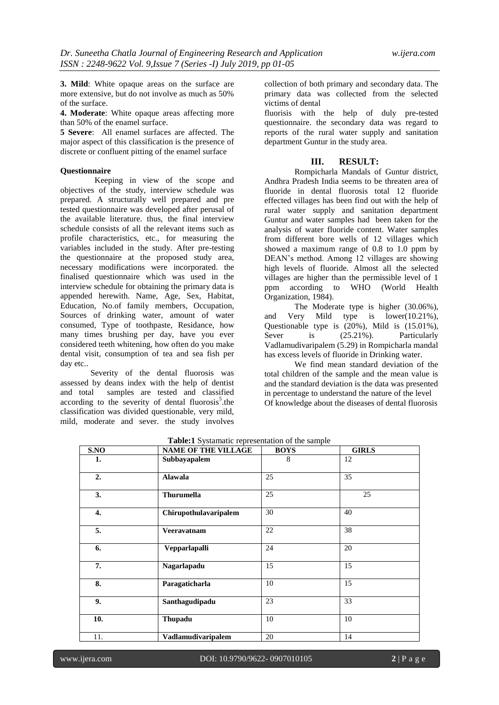**3. Mild**: White opaque areas on the surface are more extensive, but do not involve as much as 50% of the surface.

**4. Moderate**: White opaque areas affecting more than 50% of the enamel surface.

**5 Severe**: All enamel surfaces are affected. The major aspect of this classification is the presence of discrete or confluent pitting of the enamel surface

#### **Questionnaire**

 Keeping in view of the scope and objectives of the study, interview schedule was prepared. A structurally well prepared and pre tested questionnaire was developed after perusal of the available literature. thus, the final interview schedule consists of all the relevant items such as profile characteristics, etc., for measuring the variables included in the study. After pre-testing the questionnaire at the proposed study area, necessary modifications were incorporated. the finalised questionnaire which was used in the interview schedule for obtaining the primary data is appended herewith. Name, Age, Sex, Habitat, Education, No.of family members, Occupation, Sources of drinking water, amount of water consumed, Type of toothpaste, Residance, how many times brushing per day, have you ever considered teeth whitening, how often do you make dental visit, consumption of tea and sea fish per day etc..

Severity of the dental fluorosis was assessed by deans index with the help of dentist and total samples are tested and classified according to the severity of dental fluorosis<sup>5</sup>.the classification was divided questionable, very mild, mild, moderate and sever. the study involves

collection of both primary and secondary data. The primary data was collected from the selected victims of dental

fluorisis with the help of duly pre-tested questionnaire. the secondary data was regard to reports of the rural water supply and sanitation department Guntur in the study area.

#### **III. RESULT:**

Rompicharla Mandals of Guntur district, Andhra Pradesh India seems to be threaten area of fluoride in dental fluorosis total 12 fluoride effected villages has been find out with the help of rural water supply and sanitation department Guntur and water samples had been taken for the analysis of water fluoride content. Water samples from different bore wells of 12 villages which showed a maximum range of 0.8 to 1.0 ppm by DEAN's method. Among 12 villages are showing high levels of fluoride. Almost all the selected villages are higher than the permissible level of 1 ppm according to WHO (World Health Organization, 1984).

The Moderate type is higher (30.06%), and Very Mild type is lower(10.21%), Questionable type is (20%), Mild is (15.01%), Sever is  $(25.21\%)$ . Particularly Vadlamudivaripalem (5.29) in Rompicharla mandal has excess levels of fluoride in Drinking water.

We find mean standard deviation of the total children of the sample and the mean value is and the standard deviation is the data was presented in percentage to understand the nature of the level Of knowledge about the diseases of dental fluorosis

| S.NO | <b>NAME OF THE VILLAGE</b> | <b>BOYS</b> | <b>GIRLS</b> |
|------|----------------------------|-------------|--------------|
| 1.   | Subbayapalem               | 8           | 12           |
| 2.   | Alawala                    | 25          | 35           |
| 3.   | <b>Thurumella</b>          | 25          | 25           |
| 4.   | Chirupothulavaripalem      | 30          | 40           |
| 5.   | Veeravatnam                | 22          | 38           |
| 6.   | Vepparlapalli              | 24          | 20           |
| 7.   | Nagarlapadu                | 15          | 15           |
| 8.   | Paragaticharla             | 10          | 15           |
| 9.   | Santhagudipadu             | 23          | 33           |
| 10.  | <b>Thupadu</b>             | 10          | 10           |
| 11.  | Vadlamudivaripalem         | 20          | 14           |

**Table:1** Systamatic representation of the sample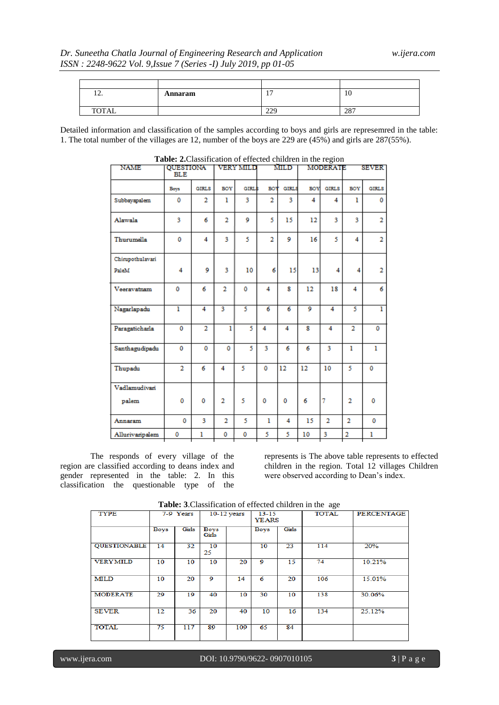## *Dr. Suneetha Chatla Journal of Engineering Research and Application w.ijera.com ISSN : 2248-9622 Vol. 9,Issue 7 (Series -I) July 2019, pp 01-05*

| $\mathbf{1}$ | Annaram | -<br>. .   | 10  |
|--------------|---------|------------|-----|
| TOTAL        |         | 220<br>ムムフ | 287 |

Detailed information and classification of the samples according to boys and girls are represemred in the table: 1. The total number of the villages are 12, number of the boys are 229 are (45%) and girls are 287(55%).

| <b>NAME</b>      | QUESTIONA<br><b>BLE</b> |                | VERY MILD      |              | MILD           |                | MODERATE   |                | <b>SEVER</b>   |                |
|------------------|-------------------------|----------------|----------------|--------------|----------------|----------------|------------|----------------|----------------|----------------|
|                  | Boys                    | <b>GIRLS</b>   | BOY            | <b>GIRLS</b> | <b>BOY</b>     | <b>GIRLS</b>   | <b>BOY</b> | <b>GIRLS</b>   | BOY            | <b>GIRLS</b>   |
| Subbayapalem     | 0                       | 2              | 1              | 3            | $\overline{2}$ | 3              | 4          | 4              | ı              | 0              |
| Alawala          | 3                       | 6              | $\overline{2}$ | 9            | 5              | 15             | 12         | 3              | 3              | $\overline{2}$ |
| Thurumella       | 0                       | 4              | 3              | 5            | $\overline{2}$ | 9              | 16         | 5              | 4              | $\overline{2}$ |
| Chirupothulavari |                         |                |                |              |                |                |            |                |                |                |
| PaleM            | 4                       | 9              | 3              | 10           | 6              | 15             | 13         | 4              | 4              | $\overline{2}$ |
| Veeravatnam      | 0                       | 6              | $\overline{2}$ | 0            | 4              | 8              | 12         | 18             | 4              | 6              |
| Nagarlapadu      | ī                       | 4              | 3              | 5            | $\overline{6}$ | $\overline{6}$ | 9          | 4              | 5              | ī              |
| Paragaticharla   | 0                       | $\overline{2}$ | 1              | 5            | 4              | 4              | 8          | 4              | $\overline{2}$ | 0              |
| Santhagudipadu   | 0                       | 0              | $\mathbf{0}$   | 5            | 3              | 6              | 6          | 3              | $\mathbf{I}$   | $\mathbf{I}$   |
| Thupadu          | $\overline{2}$          | 6              | 4              | 5            | 0              | 12             | 12         | 10             | 5              | 0              |
| Vadlamudivari    |                         |                |                |              |                |                |            |                |                |                |
| palem            | $\mathbf 0$             | 0              | $\overline{2}$ | 5            | 0              | 0              | 6          | 7              | $\overline{2}$ | 0              |
| Annaram          | 0                       | 3              | $\overline{2}$ | 5            | 1              | 4              | 15         | $\overline{2}$ | $\overline{2}$ | 0              |
| Allurivaripalem  | 0                       | ı              | 0              | 0            | 5              | 5              | 10         | 3              | $\overline{2}$ | ı              |

| <b>Table: 2.</b> Classification of effected children in the region |  |
|--------------------------------------------------------------------|--|
|--------------------------------------------------------------------|--|

The responds of every village of the region are classified according to deans index and gender represented in the table: 2. In this classification the questionable type of the

represents is The above table represents to effected children in the region. Total 12 villages Children were observed according to Dean's index.

| <b>Tublet</b> <i>exercision of enected</i> emigren in the age |             |       |                      |     |                           |       |              |                   |
|---------------------------------------------------------------|-------------|-------|----------------------|-----|---------------------------|-------|--------------|-------------------|
| <b>TYPE</b>                                                   | 7-9 Years   |       | $10-12$ years        |     | $13 - 15$<br><b>YEARS</b> |       | <b>TOTAL</b> | <b>PERCENTAGE</b> |
|                                                               | <b>Boys</b> | Girls | <b>Boys</b><br>Girls |     | Boys                      | Girls |              |                   |
| <b>OUESTIONABLE</b>                                           | 14          | 32    | 10<br>25             |     | 10                        | 23    | 114          | 20%               |
| <b>VERYMILD</b>                                               | 10          | 10    | 10                   | 20  | Q                         | 15    | 74           | 10.21%            |
| MILD                                                          | 10          | 20    | 9                    | 14  | 6                         | 20    | 106          | 15.01%            |
| <b>MODERATE</b>                                               | 29          | 19    | 40                   | 10  | 30                        | 10    | 138          | 30.06%            |
| <b>SEVER</b>                                                  | 12          | 36    | 20                   | 40  | 10                        | 16    | 134          | 25.12%            |
| <b>TOTAL</b>                                                  | 75          | 117   | 89                   | 109 | 65                        | 84    |              |                   |

**Table: 3**.Classification of effected children in the age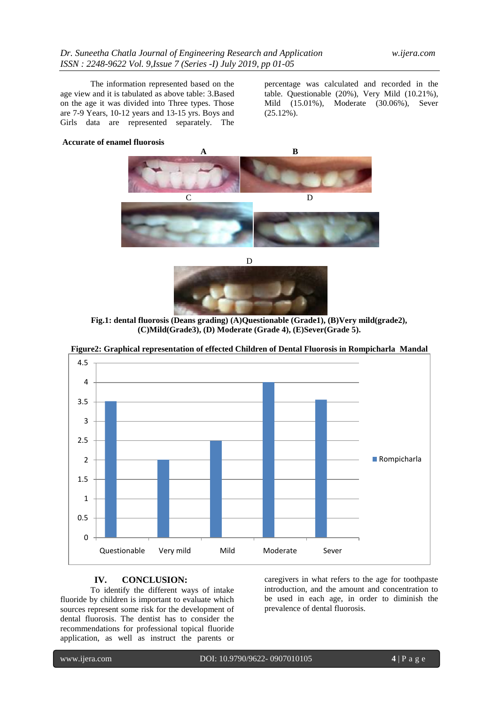The information represented based on the age view and it is tabulated as above table: 3.Based on the age it was divided into Three types. Those are 7-9 Years, 10-12 years and 13-15 yrs. Boys and Girls data are represented separately. The

percentage was calculated and recorded in the table. Questionable (20%), Very Mild (10.21%), Mild (15.01%), Moderate (30.06%), Sever  $(25.12\%)$ .

#### **Accurate of enamel fluorosis**





**Fig.1: dental fluorosis (Deans grading) (A)Questionable (Grade1), (B)Very mild(grade2), (C)Mild(Grade3), (D) Moderate (Grade 4), (E)Sever(Grade 5).**



**Figure2: Graphical representation of effected Children of Dental Fluorosis in Rompicharla Mandal**

#### **IV. CONCLUSION:**

To identify the different ways of intake fluoride by children is important to evaluate which sources represent some risk for the development of dental fluorosis. The dentist has to consider the recommendations for professional topical fluoride application, as well as instruct the parents or

caregivers in what refers to the age for toothpaste introduction, and the amount and concentration to be used in each age, in order to diminish the prevalence of dental fluorosis.